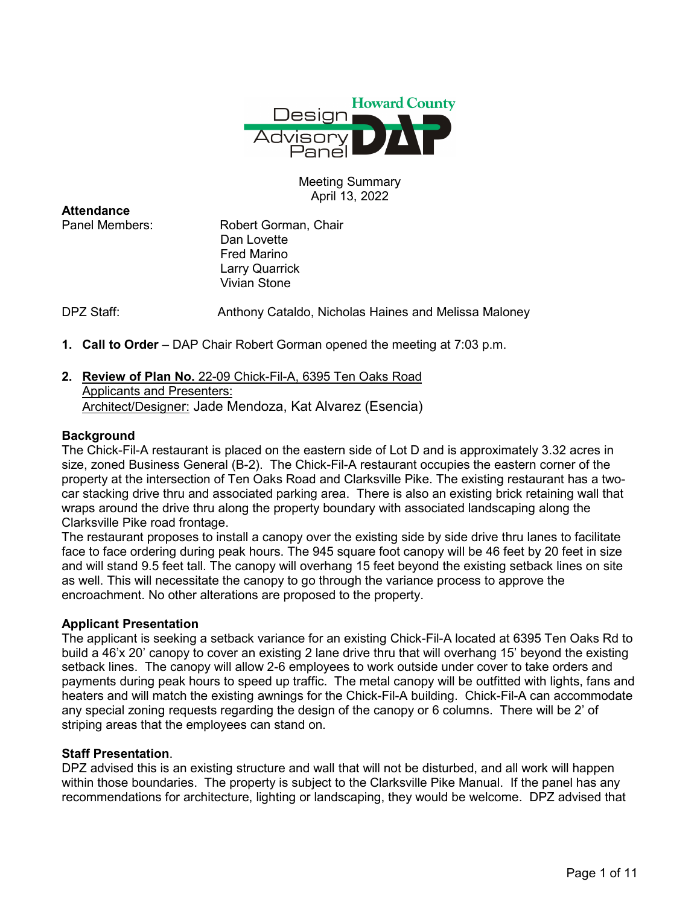

# Meeting Summary April 13, 2022

**Attendance**<br>Panel Members:

Robert Gorman, Chair Dan Lovette Fred Marino Larry Quarrick Vivian Stone

DPZ Staff: Anthony Cataldo, Nicholas Haines and Melissa Maloney

- **1. Call to Order** DAP Chair Robert Gorman opened the meeting at 7:03 p.m.
- **2. Review of Plan No.** 22-09 Chick-Fil-A, 6395 Ten Oaks Road Applicants and Presenters: Architect/Designer: Jade Mendoza, Kat Alvarez (Esencia)

## **Background**

The Chick-Fil-A restaurant is placed on the eastern side of Lot D and is approximately 3.32 acres in size, zoned Business General (B-2). The Chick-Fil-A restaurant occupies the eastern corner of the property at the intersection of Ten Oaks Road and Clarksville Pike. The existing restaurant has a twocar stacking drive thru and associated parking area. There is also an existing brick retaining wall that wraps around the drive thru along the property boundary with associated landscaping along the Clarksville Pike road frontage.

The restaurant proposes to install a canopy over the existing side by side drive thru lanes to facilitate face to face ordering during peak hours. The 945 square foot canopy will be 46 feet by 20 feet in size and will stand 9.5 feet tall. The canopy will overhang 15 feet beyond the existing setback lines on site as well. This will necessitate the canopy to go through the variance process to approve the encroachment. No other alterations are proposed to the property.

## **Applicant Presentation**

The applicant is seeking a setback variance for an existing Chick-Fil-A located at 6395 Ten Oaks Rd to build a 46'x 20' canopy to cover an existing 2 lane drive thru that will overhang 15' beyond the existing setback lines. The canopy will allow 2-6 employees to work outside under cover to take orders and payments during peak hours to speed up traffic. The metal canopy will be outfitted with lights, fans and heaters and will match the existing awnings for the Chick-Fil-A building. Chick-Fil-A can accommodate any special zoning requests regarding the design of the canopy or 6 columns. There will be 2' of striping areas that the employees can stand on.

## **Staff Presentation**.

DPZ advised this is an existing structure and wall that will not be disturbed, and all work will happen within those boundaries. The property is subject to the Clarksville Pike Manual. If the panel has any recommendations for architecture, lighting or landscaping, they would be welcome. DPZ advised that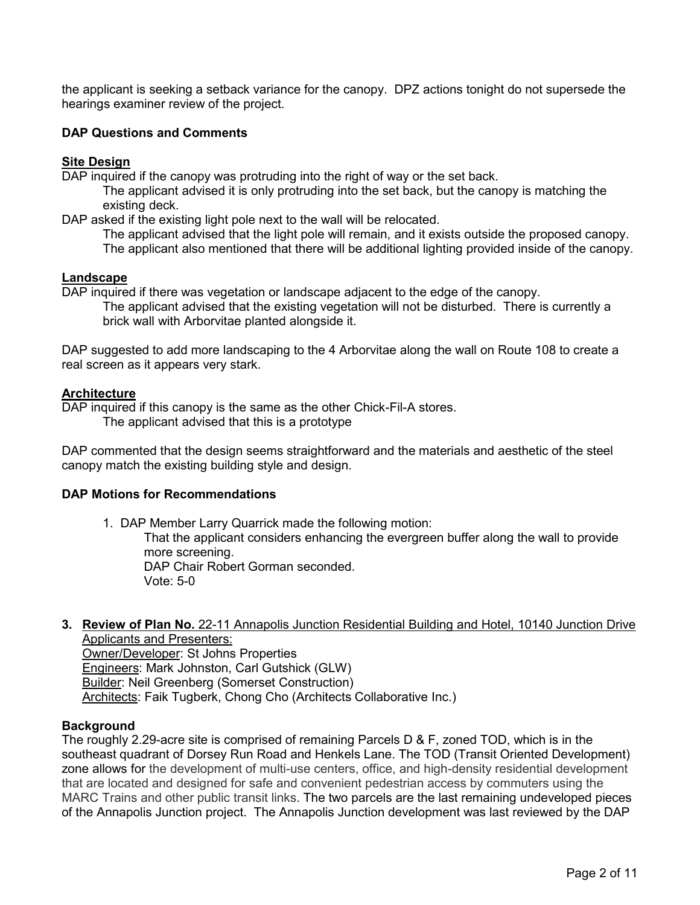the applicant is seeking a setback variance for the canopy. DPZ actions tonight do not supersede the hearings examiner review of the project.

# **DAP Questions and Comments**

## **Site Design**

DAP inquired if the canopy was protruding into the right of way or the set back.

The applicant advised it is only protruding into the set back, but the canopy is matching the existing deck.

DAP asked if the existing light pole next to the wall will be relocated.

The applicant advised that the light pole will remain, and it exists outside the proposed canopy. The applicant also mentioned that there will be additional lighting provided inside of the canopy.

## **Landscape**

DAP inquired if there was vegetation or landscape adjacent to the edge of the canopy.

The applicant advised that the existing vegetation will not be disturbed. There is currently a brick wall with Arborvitae planted alongside it.

DAP suggested to add more landscaping to the 4 Arborvitae along the wall on Route 108 to create a real screen as it appears very stark.

## **Architecture**

DAP inquired if this canopy is the same as the other Chick-Fil-A stores.

The applicant advised that this is a prototype

DAP commented that the design seems straightforward and the materials and aesthetic of the steel canopy match the existing building style and design.

## **DAP Motions for Recommendations**

1. DAP Member Larry Quarrick made the following motion: That the applicant considers enhancing the evergreen buffer along the wall to provide more screening. DAP Chair Robert Gorman seconded. Vote: 5-0

#### **3. Review of Plan No.** 22-11 Annapolis Junction Residential Building and Hotel, 10140 Junction Drive Applicants and Presenters:

Owner/Developer: St Johns Properties Engineers: Mark Johnston, Carl Gutshick (GLW) **Builder: Neil Greenberg (Somerset Construction)** Architects: Faik Tugberk, Chong Cho (Architects Collaborative Inc.)

## **Background**

The roughly 2.29-acre site is comprised of remaining Parcels D & F, zoned TOD, which is in the southeast quadrant of Dorsey Run Road and Henkels Lane. The TOD (Transit Oriented Development) zone allows for the development of multi-use centers, office, and high-density residential development that are located and designed for safe and convenient pedestrian access by commuters using the MARC Trains and other public transit links. The two parcels are the last remaining undeveloped pieces of the Annapolis Junction project. The Annapolis Junction development was last reviewed by the DAP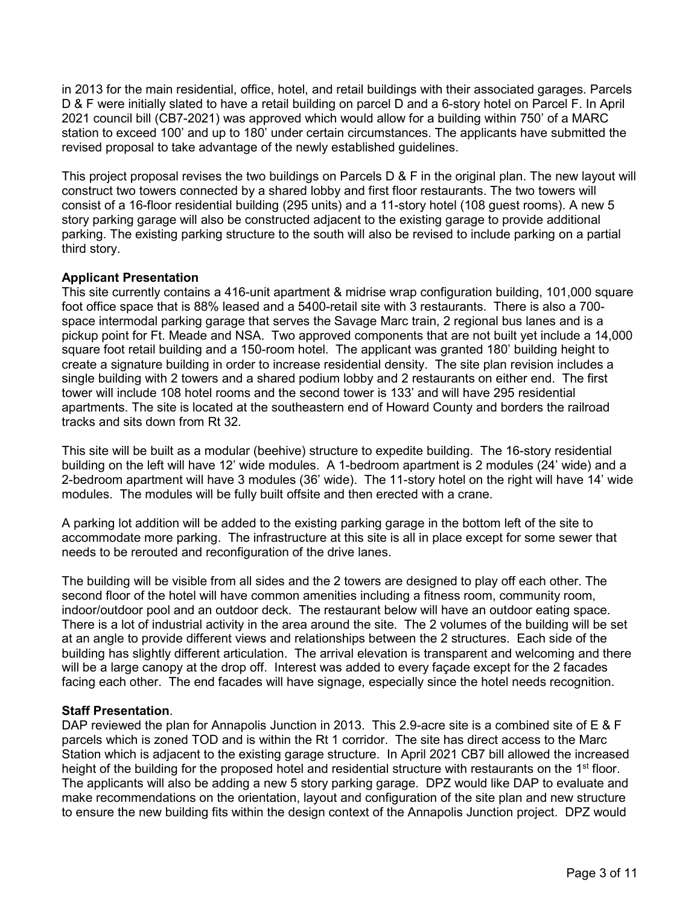in 2013 for the main residential, office, hotel, and retail buildings with their associated garages. Parcels D & F were initially slated to have a retail building on parcel D and a 6-story hotel on Parcel F. In April 2021 council bill (CB7-2021) was approved which would allow for a building within 750' of a MARC station to exceed 100' and up to 180' under certain circumstances. The applicants have submitted the revised proposal to take advantage of the newly established guidelines.

This project proposal revises the two buildings on Parcels D & F in the original plan. The new layout will construct two towers connected by a shared lobby and first floor restaurants. The two towers will consist of a 16-floor residential building (295 units) and a 11-story hotel (108 guest rooms). A new 5 story parking garage will also be constructed adjacent to the existing garage to provide additional parking. The existing parking structure to the south will also be revised to include parking on a partial third story.

## **Applicant Presentation**

This site currently contains a 416-unit apartment & midrise wrap configuration building, 101,000 square foot office space that is 88% leased and a 5400-retail site with 3 restaurants. There is also a 700 space intermodal parking garage that serves the Savage Marc train, 2 regional bus lanes and is a pickup point for Ft. Meade and NSA. Two approved components that are not built yet include a 14,000 square foot retail building and a 150-room hotel. The applicant was granted 180' building height to create a signature building in order to increase residential density. The site plan revision includes a single building with 2 towers and a shared podium lobby and 2 restaurants on either end. The first tower will include 108 hotel rooms and the second tower is 133' and will have 295 residential apartments. The site is located at the southeastern end of Howard County and borders the railroad tracks and sits down from Rt 32.

This site will be built as a modular (beehive) structure to expedite building. The 16-story residential building on the left will have 12' wide modules. A 1-bedroom apartment is 2 modules (24' wide) and a 2-bedroom apartment will have 3 modules (36' wide). The 11-story hotel on the right will have 14' wide modules. The modules will be fully built offsite and then erected with a crane.

A parking lot addition will be added to the existing parking garage in the bottom left of the site to accommodate more parking. The infrastructure at this site is all in place except for some sewer that needs to be rerouted and reconfiguration of the drive lanes.

The building will be visible from all sides and the 2 towers are designed to play off each other. The second floor of the hotel will have common amenities including a fitness room, community room, indoor/outdoor pool and an outdoor deck. The restaurant below will have an outdoor eating space. There is a lot of industrial activity in the area around the site. The 2 volumes of the building will be set at an angle to provide different views and relationships between the 2 structures. Each side of the building has slightly different articulation. The arrival elevation is transparent and welcoming and there will be a large canopy at the drop off. Interest was added to every façade except for the 2 facades facing each other. The end facades will have signage, especially since the hotel needs recognition.

## **Staff Presentation**.

DAP reviewed the plan for Annapolis Junction in 2013. This 2.9-acre site is a combined site of E & F parcels which is zoned TOD and is within the Rt 1 corridor. The site has direct access to the Marc Station which is adjacent to the existing garage structure. In April 2021 CB7 bill allowed the increased height of the building for the proposed hotel and residential structure with restaurants on the 1<sup>st</sup> floor. The applicants will also be adding a new 5 story parking garage. DPZ would like DAP to evaluate and make recommendations on the orientation, layout and configuration of the site plan and new structure to ensure the new building fits within the design context of the Annapolis Junction project. DPZ would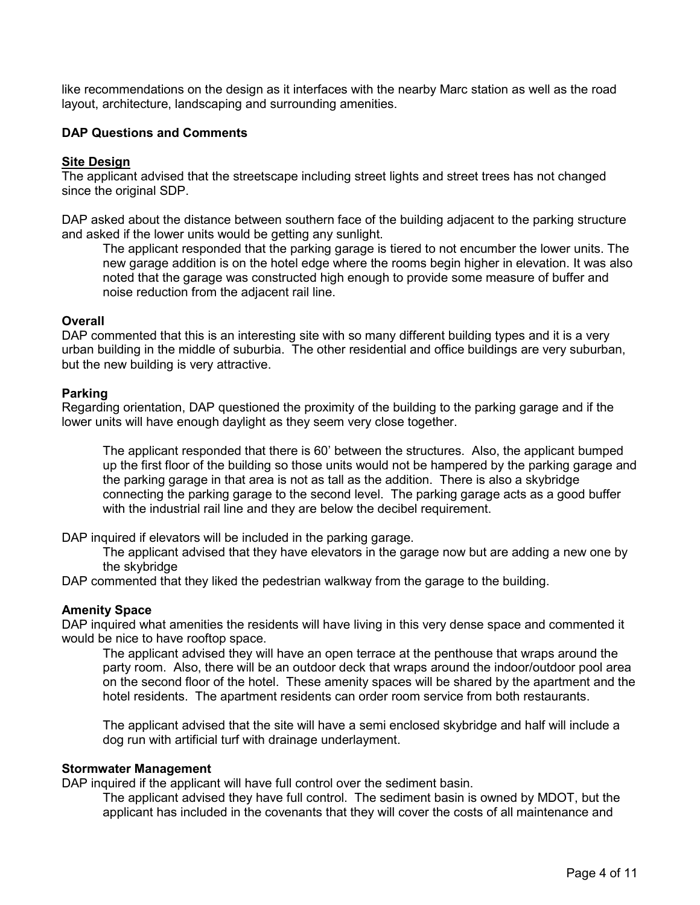like recommendations on the design as it interfaces with the nearby Marc station as well as the road layout, architecture, landscaping and surrounding amenities.

# **DAP Questions and Comments**

## **Site Design**

The applicant advised that the streetscape including street lights and street trees has not changed since the original SDP.

DAP asked about the distance between southern face of the building adjacent to the parking structure and asked if the lower units would be getting any sunlight.

The applicant responded that the parking garage is tiered to not encumber the lower units. The new garage addition is on the hotel edge where the rooms begin higher in elevation. It was also noted that the garage was constructed high enough to provide some measure of buffer and noise reduction from the adjacent rail line.

## **Overall**

DAP commented that this is an interesting site with so many different building types and it is a very urban building in the middle of suburbia. The other residential and office buildings are very suburban, but the new building is very attractive.

## **Parking**

Regarding orientation, DAP questioned the proximity of the building to the parking garage and if the lower units will have enough daylight as they seem very close together.

The applicant responded that there is 60' between the structures. Also, the applicant bumped up the first floor of the building so those units would not be hampered by the parking garage and the parking garage in that area is not as tall as the addition. There is also a skybridge connecting the parking garage to the second level. The parking garage acts as a good buffer with the industrial rail line and they are below the decibel requirement.

DAP inquired if elevators will be included in the parking garage.

The applicant advised that they have elevators in the garage now but are adding a new one by the skybridge

DAP commented that they liked the pedestrian walkway from the garage to the building.

## **Amenity Space**

DAP inquired what amenities the residents will have living in this very dense space and commented it would be nice to have rooftop space.

The applicant advised they will have an open terrace at the penthouse that wraps around the party room. Also, there will be an outdoor deck that wraps around the indoor/outdoor pool area on the second floor of the hotel. These amenity spaces will be shared by the apartment and the hotel residents. The apartment residents can order room service from both restaurants.

The applicant advised that the site will have a semi enclosed skybridge and half will include a dog run with artificial turf with drainage underlayment.

#### **Stormwater Management**

DAP inquired if the applicant will have full control over the sediment basin.

The applicant advised they have full control. The sediment basin is owned by MDOT, but the applicant has included in the covenants that they will cover the costs of all maintenance and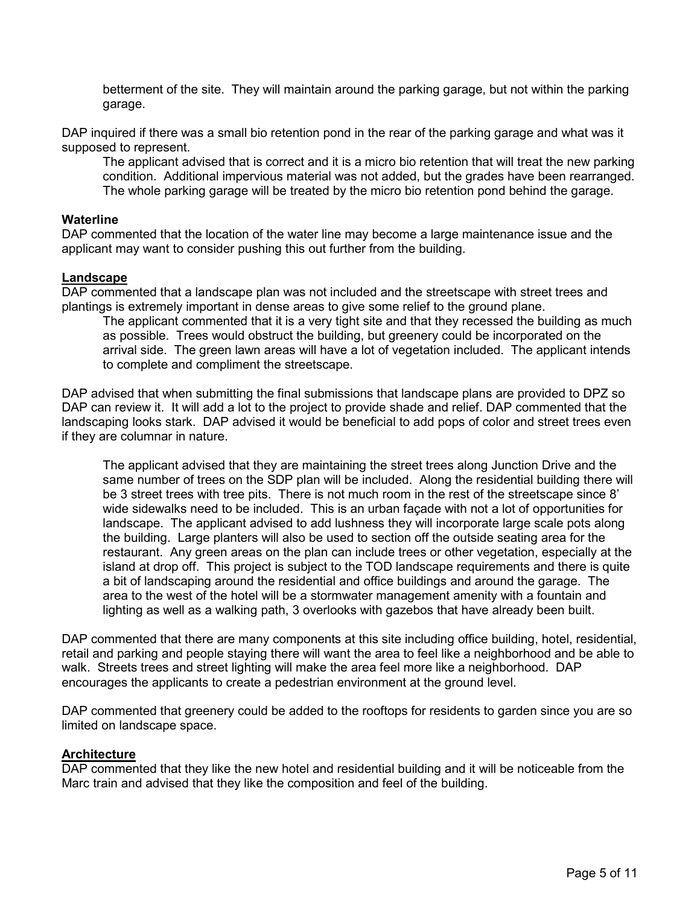betterment of the site. They will maintain around the parking garage, but not within the parking garage.

DAP inquired if there was a small bio retention pond in the rear of the parking garage and what was it supposed to represent.

The applicant advised that is correct and it is a micro bio retention that will treat the new parking condition. Additional impervious material was not added, but the grades have been rearranged. The whole parking garage will be treated by the micro bio retention pond behind the garage.

#### **Waterline**

DAP commented that the location of the water line may become a large maintenance issue and the applicant may want to consider pushing this out further from the building.

#### **Landscape**

DAP commented that a landscape plan was not included and the streetscape with street trees and plantings is extremely important in dense areas to give some relief to the ground plane.

The applicant commented that it is a very tight site and that they recessed the building as much as possible. Trees would obstruct the building, but greenery could be incorporated on the arrival side. The green lawn areas will have a lot of vegetation included. The applicant intends to complete and compliment the streetscape.

DAP advised that when submitting the final submissions that landscape plans are provided to DPZ so DAP can review it. It will add a lot to the project to provide shade and relief. DAP commented that the landscaping looks stark. DAP advised it would be beneficial to add pops of color and street trees even if they are columnar in nature.

The applicant advised that they are maintaining the street trees along Junction Drive and the same number of trees on the SDP plan will be included. Along the residential building there will be 3 street trees with tree pits. There is not much room in the rest of the streetscape since 8' wide sidewalks need to be included. This is an urban façade with not a lot of opportunities for landscape. The applicant advised to add lushness they will incorporate large scale pots along the building. Large planters will also be used to section off the outside seating area for the restaurant. Any green areas on the plan can include trees or other vegetation, especially at the island at drop off. This project is subject to the TOD landscape requirements and there is quite a bit of landscaping around the residential and office buildings and around the garage. The area to the west of the hotel will be a stormwater management amenity with a fountain and lighting as well as a walking path, 3 overlooks with gazebos that have already been built.

DAP commented that there are many components at this site including office building, hotel, residential, retail and parking and people staying there will want the area to feel like a neighborhood and be able to walk. Streets trees and street lighting will make the area feel more like a neighborhood. DAP encourages the applicants to create a pedestrian environment at the ground level.

DAP commented that greenery could be added to the rooftops for residents to garden since you are so limited on landscape space.

## **Architecture**

DAP commented that they like the new hotel and residential building and it will be noticeable from the Marc train and advised that they like the composition and feel of the building.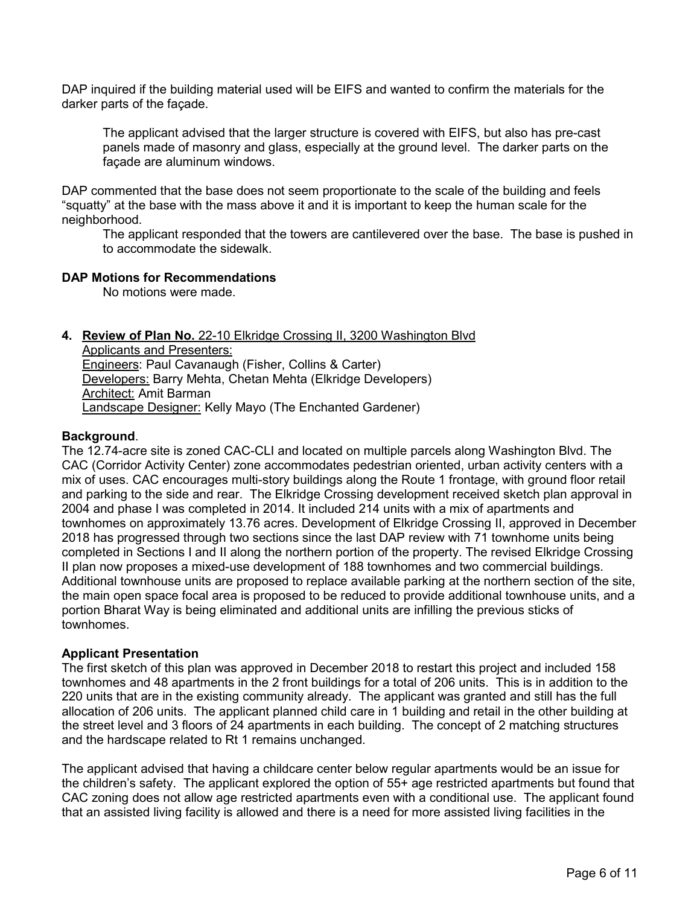DAP inquired if the building material used will be EIFS and wanted to confirm the materials for the darker parts of the façade.

The applicant advised that the larger structure is covered with EIFS, but also has pre-cast panels made of masonry and glass, especially at the ground level. The darker parts on the façade are aluminum windows.

DAP commented that the base does not seem proportionate to the scale of the building and feels "squatty" at the base with the mass above it and it is important to keep the human scale for the neighborhood.

The applicant responded that the towers are cantilevered over the base. The base is pushed in to accommodate the sidewalk.

# **DAP Motions for Recommendations**

No motions were made.

# **4. Review of Plan No.** 22-10 Elkridge Crossing II, 3200 Washington Blvd

Applicants and Presenters: Engineers: Paul Cavanaugh (Fisher, Collins & Carter) Developers: Barry Mehta, Chetan Mehta (Elkridge Developers) Architect: Amit Barman Landscape Designer: Kelly Mayo (The Enchanted Gardener)

## **Background**.

The 12.74-acre site is zoned CAC-CLI and located on multiple parcels along Washington Blvd. The CAC (Corridor Activity Center) zone accommodates pedestrian oriented, urban activity centers with a mix of uses. CAC encourages multi-story buildings along the Route 1 frontage, with ground floor retail and parking to the side and rear. The Elkridge Crossing development received sketch plan approval in 2004 and phase I was completed in 2014. It included 214 units with a mix of apartments and townhomes on approximately 13.76 acres. Development of Elkridge Crossing II, approved in December 2018 has progressed through two sections since the last DAP review with 71 townhome units being completed in Sections I and II along the northern portion of the property. The revised Elkridge Crossing II plan now proposes a mixed-use development of 188 townhomes and two commercial buildings. Additional townhouse units are proposed to replace available parking at the northern section of the site, the main open space focal area is proposed to be reduced to provide additional townhouse units, and a portion Bharat Way is being eliminated and additional units are infilling the previous sticks of townhomes.

## **Applicant Presentation**

The first sketch of this plan was approved in December 2018 to restart this project and included 158 townhomes and 48 apartments in the 2 front buildings for a total of 206 units. This is in addition to the 220 units that are in the existing community already. The applicant was granted and still has the full allocation of 206 units. The applicant planned child care in 1 building and retail in the other building at the street level and 3 floors of 24 apartments in each building. The concept of 2 matching structures and the hardscape related to Rt 1 remains unchanged.

The applicant advised that having a childcare center below regular apartments would be an issue for the children's safety. The applicant explored the option of 55+ age restricted apartments but found that CAC zoning does not allow age restricted apartments even with a conditional use. The applicant found that an assisted living facility is allowed and there is a need for more assisted living facilities in the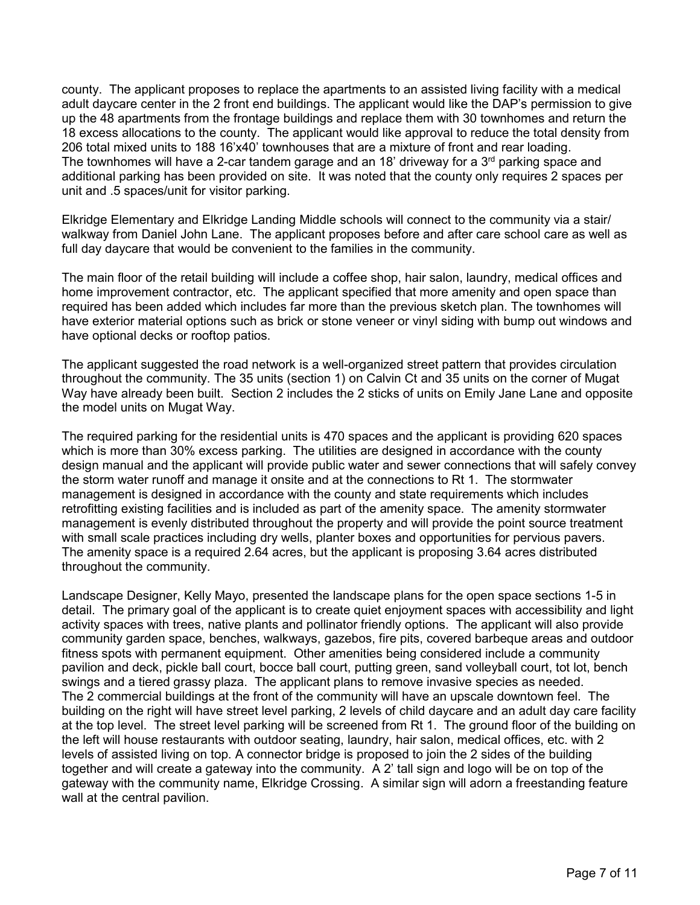county. The applicant proposes to replace the apartments to an assisted living facility with a medical adult daycare center in the 2 front end buildings. The applicant would like the DAP's permission to give up the 48 apartments from the frontage buildings and replace them with 30 townhomes and return the 18 excess allocations to the county. The applicant would like approval to reduce the total density from 206 total mixed units to 188 16'x40' townhouses that are a mixture of front and rear loading. The townhomes will have a 2-car tandem garage and an 18' driveway for a  $3<sup>rd</sup>$  parking space and additional parking has been provided on site. It was noted that the county only requires 2 spaces per unit and .5 spaces/unit for visitor parking.

Elkridge Elementary and Elkridge Landing Middle schools will connect to the community via a stair/ walkway from Daniel John Lane. The applicant proposes before and after care school care as well as full day daycare that would be convenient to the families in the community.

The main floor of the retail building will include a coffee shop, hair salon, laundry, medical offices and home improvement contractor, etc. The applicant specified that more amenity and open space than required has been added which includes far more than the previous sketch plan. The townhomes will have exterior material options such as brick or stone veneer or vinyl siding with bump out windows and have optional decks or rooftop patios.

The applicant suggested the road network is a well-organized street pattern that provides circulation throughout the community. The 35 units (section 1) on Calvin Ct and 35 units on the corner of Mugat Way have already been built. Section 2 includes the 2 sticks of units on Emily Jane Lane and opposite the model units on Mugat Way.

The required parking for the residential units is 470 spaces and the applicant is providing 620 spaces which is more than 30% excess parking. The utilities are designed in accordance with the county design manual and the applicant will provide public water and sewer connections that will safely convey the storm water runoff and manage it onsite and at the connections to Rt 1. The stormwater management is designed in accordance with the county and state requirements which includes retrofitting existing facilities and is included as part of the amenity space. The amenity stormwater management is evenly distributed throughout the property and will provide the point source treatment with small scale practices including dry wells, planter boxes and opportunities for pervious pavers. The amenity space is a required 2.64 acres, but the applicant is proposing 3.64 acres distributed throughout the community.

Landscape Designer, Kelly Mayo, presented the landscape plans for the open space sections 1-5 in detail. The primary goal of the applicant is to create quiet enjoyment spaces with accessibility and light activity spaces with trees, native plants and pollinator friendly options. The applicant will also provide community garden space, benches, walkways, gazebos, fire pits, covered barbeque areas and outdoor fitness spots with permanent equipment. Other amenities being considered include a community pavilion and deck, pickle ball court, bocce ball court, putting green, sand volleyball court, tot lot, bench swings and a tiered grassy plaza. The applicant plans to remove invasive species as needed. The 2 commercial buildings at the front of the community will have an upscale downtown feel. The building on the right will have street level parking, 2 levels of child daycare and an adult day care facility at the top level. The street level parking will be screened from Rt 1. The ground floor of the building on the left will house restaurants with outdoor seating, laundry, hair salon, medical offices, etc. with 2 levels of assisted living on top. A connector bridge is proposed to join the 2 sides of the building together and will create a gateway into the community. A 2' tall sign and logo will be on top of the gateway with the community name, Elkridge Crossing. A similar sign will adorn a freestanding feature wall at the central pavilion.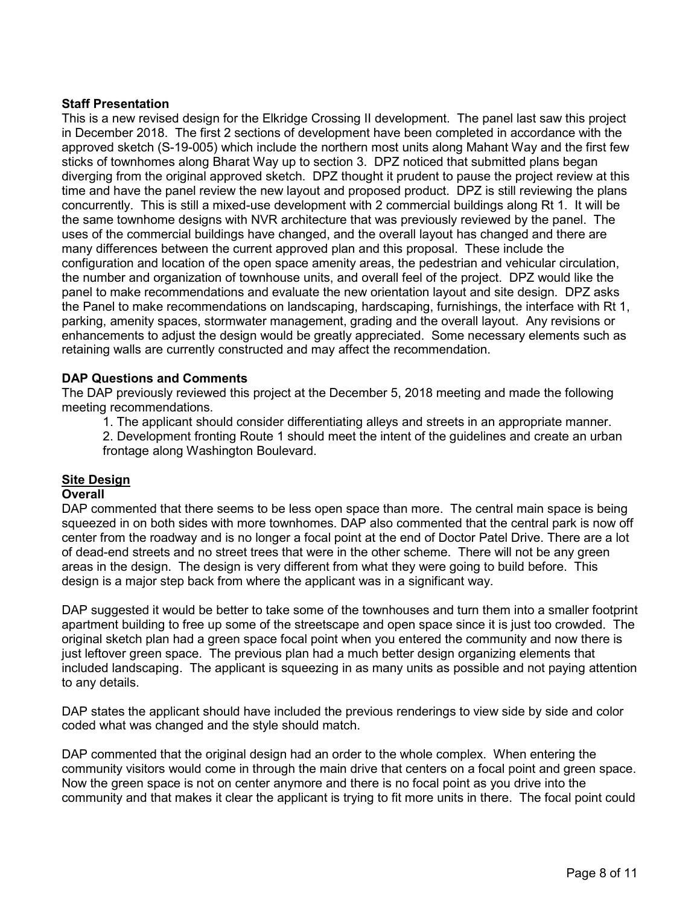# **Staff Presentation**

This is a new revised design for the Elkridge Crossing II development. The panel last saw this project in December 2018. The first 2 sections of development have been completed in accordance with the approved sketch (S-19-005) which include the northern most units along Mahant Way and the first few sticks of townhomes along Bharat Way up to section 3. DPZ noticed that submitted plans began diverging from the original approved sketch. DPZ thought it prudent to pause the project review at this time and have the panel review the new layout and proposed product. DPZ is still reviewing the plans concurrently. This is still a mixed-use development with 2 commercial buildings along Rt 1. It will be the same townhome designs with NVR architecture that was previously reviewed by the panel. The uses of the commercial buildings have changed, and the overall layout has changed and there are many differences between the current approved plan and this proposal. These include the configuration and location of the open space amenity areas, the pedestrian and vehicular circulation, the number and organization of townhouse units, and overall feel of the project. DPZ would like the panel to make recommendations and evaluate the new orientation layout and site design. DPZ asks the Panel to make recommendations on landscaping, hardscaping, furnishings, the interface with Rt 1, parking, amenity spaces, stormwater management, grading and the overall layout. Any revisions or enhancements to adjust the design would be greatly appreciated. Some necessary elements such as retaining walls are currently constructed and may affect the recommendation.

## **DAP Questions and Comments**

The DAP previously reviewed this project at the December 5, 2018 meeting and made the following meeting recommendations.

1. The applicant should consider differentiating alleys and streets in an appropriate manner.

2. Development fronting Route 1 should meet the intent of the guidelines and create an urban frontage along Washington Boulevard.

# **Site Design**

## **Overall**

DAP commented that there seems to be less open space than more. The central main space is being squeezed in on both sides with more townhomes. DAP also commented that the central park is now off center from the roadway and is no longer a focal point at the end of Doctor Patel Drive. There are a lot of dead-end streets and no street trees that were in the other scheme. There will not be any green areas in the design. The design is very different from what they were going to build before. This design is a major step back from where the applicant was in a significant way.

DAP suggested it would be better to take some of the townhouses and turn them into a smaller footprint apartment building to free up some of the streetscape and open space since it is just too crowded. The original sketch plan had a green space focal point when you entered the community and now there is just leftover green space. The previous plan had a much better design organizing elements that included landscaping. The applicant is squeezing in as many units as possible and not paying attention to any details.

DAP states the applicant should have included the previous renderings to view side by side and color coded what was changed and the style should match.

DAP commented that the original design had an order to the whole complex. When entering the community visitors would come in through the main drive that centers on a focal point and green space. Now the green space is not on center anymore and there is no focal point as you drive into the community and that makes it clear the applicant is trying to fit more units in there. The focal point could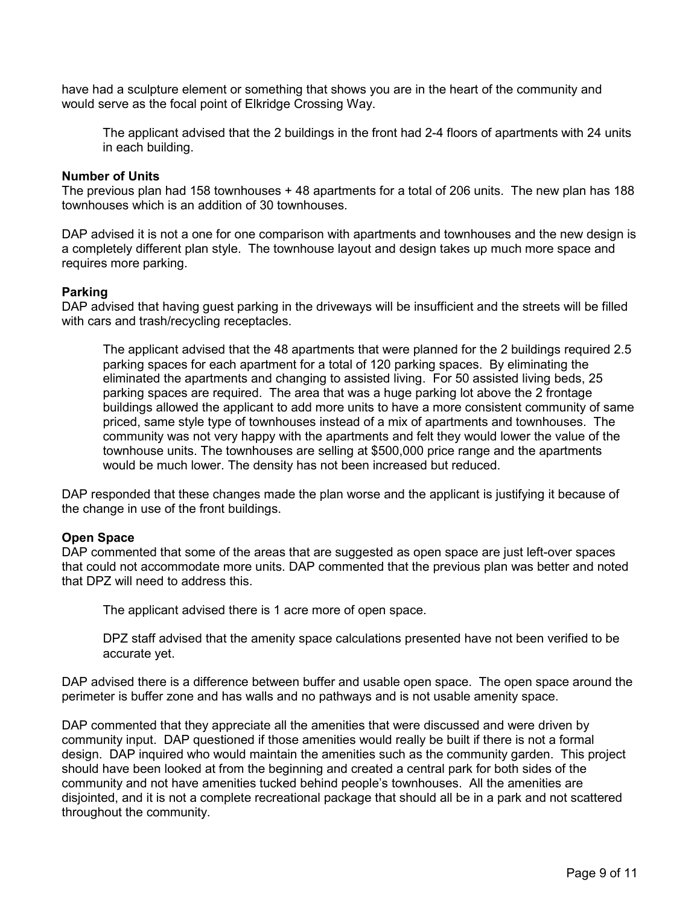have had a sculpture element or something that shows you are in the heart of the community and would serve as the focal point of Elkridge Crossing Way.

The applicant advised that the 2 buildings in the front had 2-4 floors of apartments with 24 units in each building.

#### **Number of Units**

The previous plan had 158 townhouses + 48 apartments for a total of 206 units. The new plan has 188 townhouses which is an addition of 30 townhouses.

DAP advised it is not a one for one comparison with apartments and townhouses and the new design is a completely different plan style. The townhouse layout and design takes up much more space and requires more parking.

## **Parking**

DAP advised that having guest parking in the driveways will be insufficient and the streets will be filled with cars and trash/recycling receptacles.

The applicant advised that the 48 apartments that were planned for the 2 buildings required 2.5 parking spaces for each apartment for a total of 120 parking spaces. By eliminating the eliminated the apartments and changing to assisted living. For 50 assisted living beds, 25 parking spaces are required. The area that was a huge parking lot above the 2 frontage buildings allowed the applicant to add more units to have a more consistent community of same priced, same style type of townhouses instead of a mix of apartments and townhouses. The community was not very happy with the apartments and felt they would lower the value of the townhouse units. The townhouses are selling at \$500,000 price range and the apartments would be much lower. The density has not been increased but reduced.

DAP responded that these changes made the plan worse and the applicant is justifying it because of the change in use of the front buildings.

## **Open Space**

DAP commented that some of the areas that are suggested as open space are just left-over spaces that could not accommodate more units. DAP commented that the previous plan was better and noted that DPZ will need to address this.

The applicant advised there is 1 acre more of open space.

DPZ staff advised that the amenity space calculations presented have not been verified to be accurate yet.

DAP advised there is a difference between buffer and usable open space. The open space around the perimeter is buffer zone and has walls and no pathways and is not usable amenity space.

DAP commented that they appreciate all the amenities that were discussed and were driven by community input. DAP questioned if those amenities would really be built if there is not a formal design. DAP inquired who would maintain the amenities such as the community garden. This project should have been looked at from the beginning and created a central park for both sides of the community and not have amenities tucked behind people's townhouses. All the amenities are disjointed, and it is not a complete recreational package that should all be in a park and not scattered throughout the community.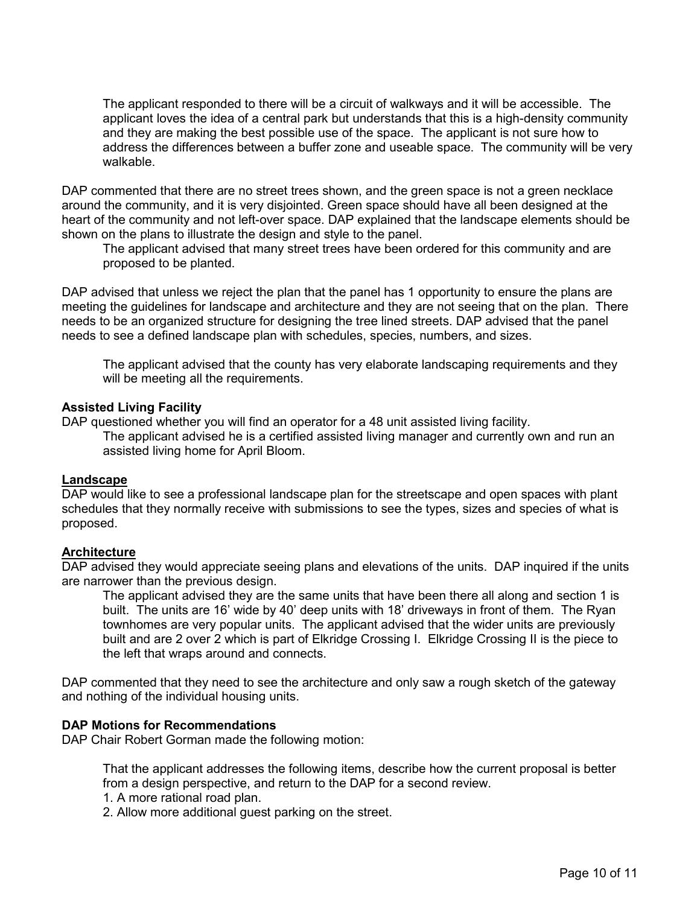The applicant responded to there will be a circuit of walkways and it will be accessible. The applicant loves the idea of a central park but understands that this is a high-density community and they are making the best possible use of the space. The applicant is not sure how to address the differences between a buffer zone and useable space. The community will be very walkable.

DAP commented that there are no street trees shown, and the green space is not a green necklace around the community, and it is very disjointed. Green space should have all been designed at the heart of the community and not left-over space. DAP explained that the landscape elements should be shown on the plans to illustrate the design and style to the panel.

The applicant advised that many street trees have been ordered for this community and are proposed to be planted.

DAP advised that unless we reject the plan that the panel has 1 opportunity to ensure the plans are meeting the guidelines for landscape and architecture and they are not seeing that on the plan. There needs to be an organized structure for designing the tree lined streets. DAP advised that the panel needs to see a defined landscape plan with schedules, species, numbers, and sizes.

The applicant advised that the county has very elaborate landscaping requirements and they will be meeting all the requirements.

## **Assisted Living Facility**

DAP questioned whether you will find an operator for a 48 unit assisted living facility.

The applicant advised he is a certified assisted living manager and currently own and run an assisted living home for April Bloom.

#### **Landscape**

DAP would like to see a professional landscape plan for the streetscape and open spaces with plant schedules that they normally receive with submissions to see the types, sizes and species of what is proposed.

## **Architecture**

DAP advised they would appreciate seeing plans and elevations of the units. DAP inquired if the units are narrower than the previous design.

The applicant advised they are the same units that have been there all along and section 1 is built. The units are 16' wide by 40' deep units with 18' driveways in front of them. The Ryan townhomes are very popular units. The applicant advised that the wider units are previously built and are 2 over 2 which is part of Elkridge Crossing I. Elkridge Crossing II is the piece to the left that wraps around and connects.

DAP commented that they need to see the architecture and only saw a rough sketch of the gateway and nothing of the individual housing units.

## **DAP Motions for Recommendations**

DAP Chair Robert Gorman made the following motion:

That the applicant addresses the following items, describe how the current proposal is better from a design perspective, and return to the DAP for a second review.

- 1. A more rational road plan.
- 2. Allow more additional guest parking on the street.